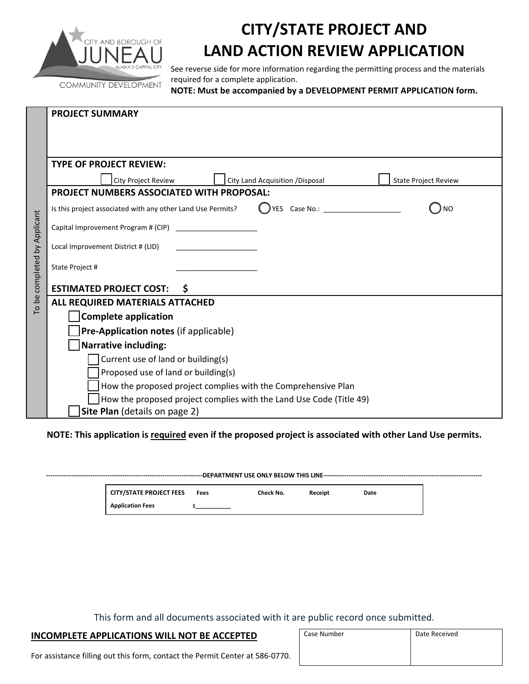

## **CITY/STATE PROJECT AND LAND ACTION REVIEW APPLICATION**

See reverse side for more information regarding the permitting process and the materials required for a complete application.

**NOTE: Must be accompanied by a DEVELOPMENT PERMIT APPLICATION form.**

|                                                                     | <b>PROJECT SUMMARY</b>                                                                    |  |  |  |  |  |  |
|---------------------------------------------------------------------|-------------------------------------------------------------------------------------------|--|--|--|--|--|--|
|                                                                     |                                                                                           |  |  |  |  |  |  |
|                                                                     |                                                                                           |  |  |  |  |  |  |
|                                                                     | <b>TYPE OF PROJECT REVIEW:</b>                                                            |  |  |  |  |  |  |
|                                                                     | City Project Review<br>City Land Acquisition / Disposal<br><b>State Project Review</b>    |  |  |  |  |  |  |
|                                                                     | <b>PROJECT NUMBERS ASSOCIATED WITH PROPOSAL:</b>                                          |  |  |  |  |  |  |
|                                                                     | Is this project associated with any other Land Use Permits?<br>YES Case No.:<br><b>NO</b> |  |  |  |  |  |  |
|                                                                     |                                                                                           |  |  |  |  |  |  |
| To be completed by Applicant                                        | Local Improvement District # (LID)                                                        |  |  |  |  |  |  |
|                                                                     | State Project #                                                                           |  |  |  |  |  |  |
|                                                                     | <b>ESTIMATED PROJECT COST:</b><br>\$                                                      |  |  |  |  |  |  |
|                                                                     | ALL REQUIRED MATERIALS ATTACHED                                                           |  |  |  |  |  |  |
|                                                                     | <b>Complete application</b>                                                               |  |  |  |  |  |  |
|                                                                     | Pre-Application notes (if applicable)                                                     |  |  |  |  |  |  |
|                                                                     | <b>Narrative including:</b>                                                               |  |  |  |  |  |  |
|                                                                     | Current use of land or building(s)                                                        |  |  |  |  |  |  |
|                                                                     | Proposed use of land or building(s)                                                       |  |  |  |  |  |  |
|                                                                     | How the proposed project complies with the Comprehensive Plan                             |  |  |  |  |  |  |
| How the proposed project complies with the Land Use Code (Title 49) |                                                                                           |  |  |  |  |  |  |
|                                                                     | Site Plan (details on page 2)                                                             |  |  |  |  |  |  |

NOTE: This application is required even if the proposed project is associated with other Land Use permits.

| <b>CITY/STATE PROJECT FEES</b> | Fees | Check No. | Receipt | Date |  |  |  |
|--------------------------------|------|-----------|---------|------|--|--|--|
| <b>Application Fees</b>        |      |           |         |      |  |  |  |

This form and all documents associated with it are public record once submitted.

## **INCOMPLETE APPLICATIONS WILL NOT BE ACCEPTED**

| Case Number | Date Received |  |
|-------------|---------------|--|
|             |               |  |
|             |               |  |

For assistance filling out this form, contact the Permit Center at 586‐0770.